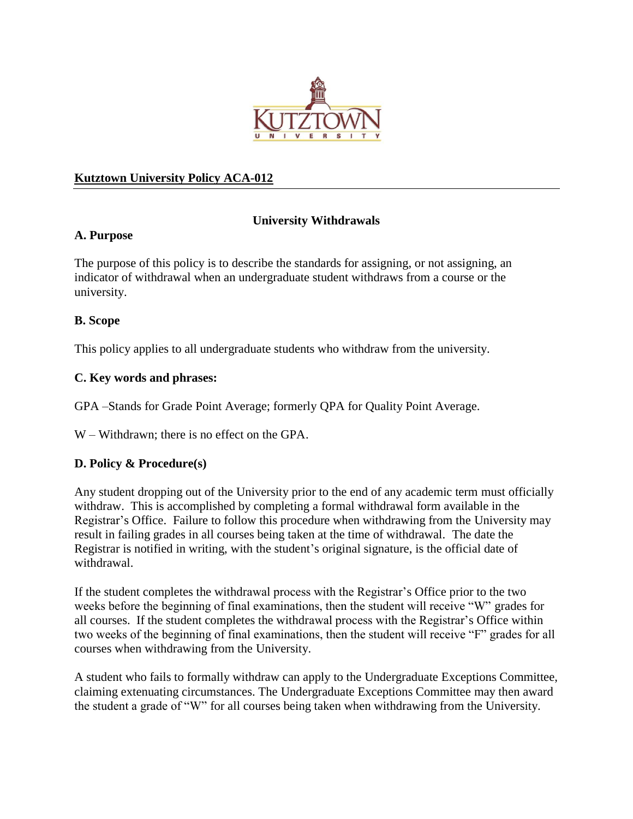

#### **Kutztown University Policy ACA-012**

## **University Withdrawals**

#### **A. Purpose**

The purpose of this policy is to describe the standards for assigning, or not assigning, an indicator of withdrawal when an undergraduate student withdraws from a course or the university.

#### **B. Scope**

This policy applies to all undergraduate students who withdraw from the university.

#### **C. Key words and phrases:**

GPA –Stands for Grade Point Average; formerly QPA for Quality Point Average.

W – Withdrawn; there is no effect on the GPA.

## **D. Policy & Procedure(s)**

Any student dropping out of the University prior to the end of any academic term must officially withdraw. This is accomplished by completing a formal withdrawal form available in the Registrar's Office. Failure to follow this procedure when withdrawing from the University may result in failing grades in all courses being taken at the time of withdrawal. The date the Registrar is notified in writing, with the student's original signature, is the official date of withdrawal.

If the student completes the withdrawal process with the Registrar's Office prior to the two weeks before the beginning of final examinations, then the student will receive "W" grades for all courses. If the student completes the withdrawal process with the Registrar's Office within two weeks of the beginning of final examinations, then the student will receive "F" grades for all courses when withdrawing from the University.

A student who fails to formally withdraw can apply to the Undergraduate Exceptions Committee, claiming extenuating circumstances. The Undergraduate Exceptions Committee may then award the student a grade of "W" for all courses being taken when withdrawing from the University.